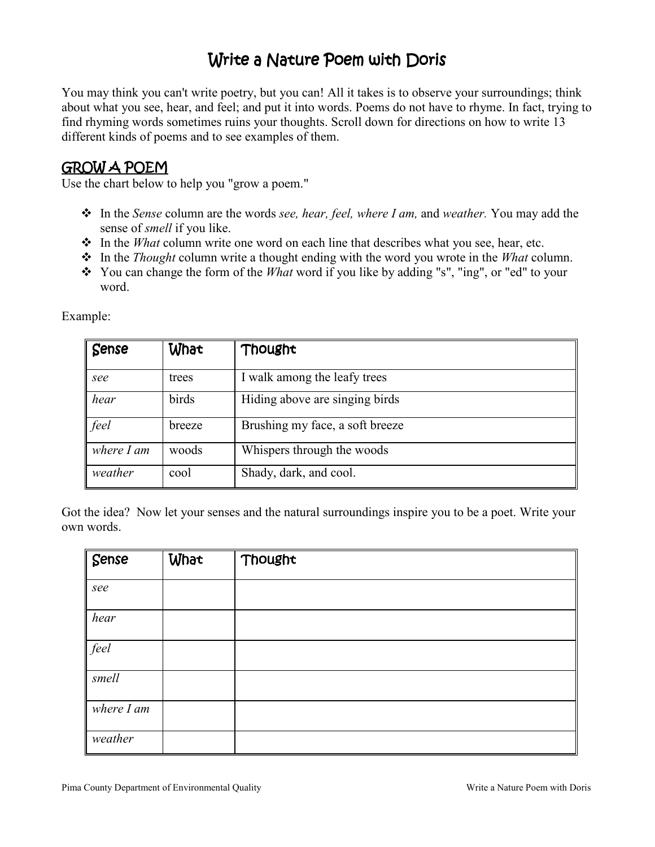# Write a Nature Poem with Doris

You may think you can't write poetry, but you can! All it takes is to observe your surroundings; think about what you see, hear, and feel; and put it into words. Poems do not have to rhyme. In fact, trying to find rhyming words sometimes ruins your thoughts. Scroll down for directions on how to write 13 different kinds of poems and to see examples of them.

#### GROW A POEM

Use the chart below to help you "grow a poem."

- In the *Sense* column are the words *see, hear, feel, where I am,* and *weather.* You may add the sense of *smell* if you like.
- \* In the *What* column write one word on each line that describes what you see, hear, etc.
- In the *Thought* column write a thought ending with the word you wrote in the *What* column.
- You can change the form of the *What* word if you like by adding "s", "ing", or "ed" to your word.

| Sense        | What   | Thought                         |
|--------------|--------|---------------------------------|
| see          | trees  | I walk among the leafy trees    |
| hear         | birds  | Hiding above are singing birds  |
| feel         | breeze | Brushing my face, a soft breeze |
| where $I$ am | woods  | Whispers through the woods      |
| weather      | cool   | Shady, dark, and cool.          |

Example:

Got the idea? Now let your senses and the natural surroundings inspire you to be a poet. Write your own words.

| $\sqrt{\frac{2}{1}}$ | What | Thought |
|----------------------|------|---------|
| see                  |      |         |
| hear                 |      |         |
| feel                 |      |         |
| smell                |      |         |
| where $I$ am         |      |         |
| weather              |      |         |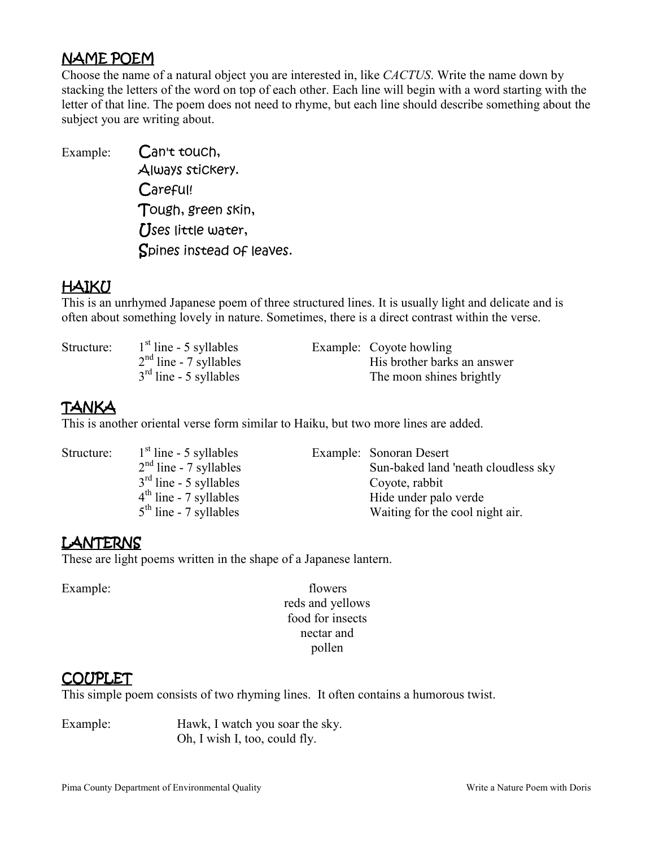## NAMEPOEM

Choose the name of a natural object you are interested in, like *CACTUS*. Write the name down by stacking the letters of the word on top of each other. Each line will begin with a word starting with the letter of that line. The poem does not need to rhyme, but each line should describe something about the subject you are writing about.

Example: Can't touch, Always stickery. Careful! Tough, green skin, **[Ises little water,** Spines instead of leaves.

## HAIKU

This is an unrhymed Japanese poem of three structured lines. It is usually light and delicate and is often about something lovely in nature. Sometimes, there is a direct contrast within the verse.

Structure:  $1<sup>st</sup>$  line - 5 syllables Example: Coyote howling  $2<sup>nd</sup>$  line - 7 syllables<br>  $3<sup>rd</sup>$  line - 5 syllables<br>
The moon shines brightly The moon shines brightly

## TANKA

This is another oriental verse form similar to Haiku, but two more lines are added.

| Structure: | $1st$ line - 5 syllables | Example: Sonoran Desert             |
|------------|--------------------------|-------------------------------------|
|            | $2nd$ line - 7 syllables | Sun-baked land 'neath cloudless sky |
|            | $3rd$ line - 5 syllables | Coyote, rabbit                      |
|            | $4th$ line - 7 syllables | Hide under palo verde               |
|            | $5th$ line - 7 syllables | Waiting for the cool night air.     |

## LANTERNS

These are light poems written in the shape of a Japanese lantern.

Example: flowers reds and yellows food for insects nectar and pollen

#### COUPLET

This simple poem consists of two rhyming lines. It often contains a humorous twist.

Example: Hawk, I watch you soar the sky. Oh, I wish I, too, could fly.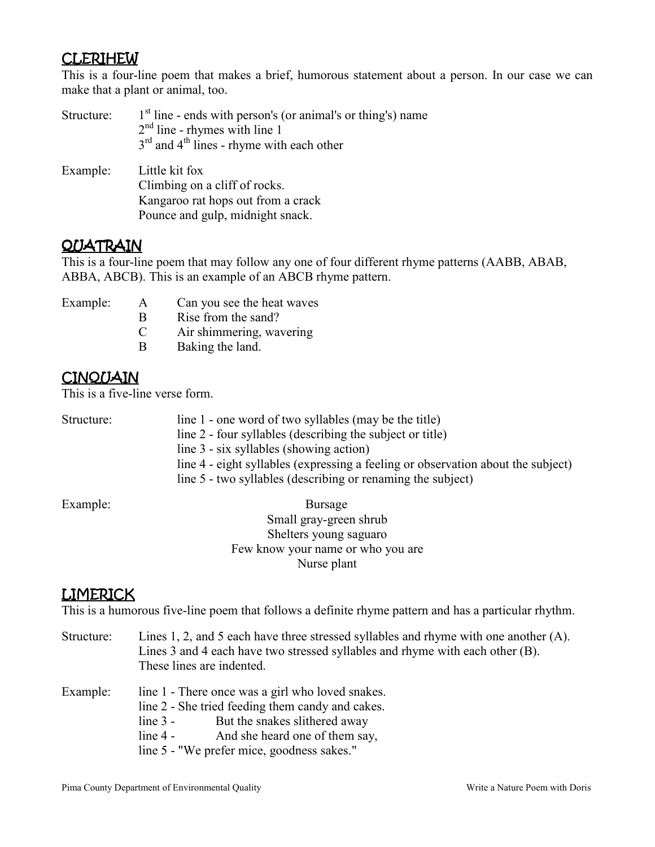## **CLERIHEW**

This is a four-line poem that makes a brief, humorous statement about a person. In our case we can make that a plant or animal, too.

| Structure: | $1st$ line - ends with person's (or animal's or thing's) name<br>$2nd$ line - rhymes with line 1<br>$3rd$ and $4th$ lines - rhyme with each other |  |
|------------|---------------------------------------------------------------------------------------------------------------------------------------------------|--|
| Example:   | Little kit fox<br>Climbing on a cliff of rocks.                                                                                                   |  |
|            | Kangaroo rat hops out from a crack                                                                                                                |  |
|            | Pounce and gulp, midnight snack.                                                                                                                  |  |

#### **QUATRAIN**

This is a four-line poem that may follow any one of four different rhyme patterns (AABB, ABAB, ABBA, ABCB). This is an example of an ABCB rhyme pattern.

- 
- Example: A Can you see the heat waves
	- B Rise from the sand?
	- C Air shimmering, wavering
	- B Baking the land.

## **CINQUAIN**

This is a five-line verse form.

| Structure: | line 1 - one word of two syllables (may be the title)                            |
|------------|----------------------------------------------------------------------------------|
|            | line 2 - four syllables (describing the subject or title)                        |
|            | line 3 - six syllables (showing action)                                          |
|            | line 4 - eight syllables (expressing a feeling or observation about the subject) |
|            | line 5 - two syllables (describing or renaming the subject)                      |

Example: Bursage Small gray-green shrub Shelters young saguaro Few know your name or who you are Nurse plant

## LIMERICK

This is a humorous five-line poem that follows a definite rhyme pattern and has a particular rhythm.

| Structure: | Lines 1, 2, and 5 each have three stressed syllables and rhyme with one another $(A)$ .<br>Lines 3 and 4 each have two stressed syllables and rhyme with each other (B).<br>These lines are indented.                                             |  |
|------------|---------------------------------------------------------------------------------------------------------------------------------------------------------------------------------------------------------------------------------------------------|--|
| Example:   | line 1 - There once was a girl who loved snakes.<br>line 2 - She tried feeding them candy and cakes.<br>But the snakes slithered away<br>$line 3 -$<br>And she heard one of them say,<br>$line 4 -$<br>line 5 - "We prefer mice, goodness sakes." |  |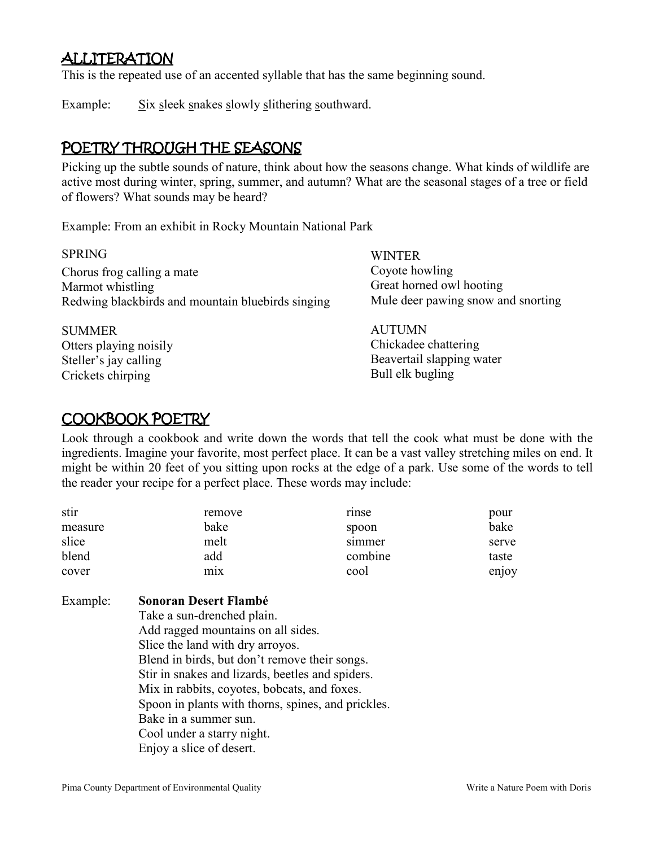## ALLITERATION

This is the repeated use of an accented syllable that has the same beginning sound.

Example: Six sleek snakes slowly slithering southward.

## POETRY THROUGH THE SEASONS

Picking up the subtle sounds of nature, think about how the seasons change. What kinds of wildlife are active most during winter, spring, summer, and autumn? What are the seasonal stages of a tree or field of flowers? What sounds may be heard?

Example: From an exhibit in Rocky Mountain National Park

SPRING Chorus frog calling a mate Marmot whistling Redwing blackbirds and mountain bluebirds singing

SUMMER Otters playing noisily Steller's jay calling Crickets chirping

**WINTER** Coyote howling Great horned owl hooting Mule deer pawing snow and snorting

AUTUMN Chickadee chattering Beavertail slapping water Bull elk bugling

## COOKBOOK POETRY

Look through a cookbook and write down the words that tell the cook what must be done with the ingredients. Imagine your favorite, most perfect place. It can be a vast valley stretching miles on end. It might be within 20 feet of you sitting upon rocks at the edge of a park. Use some of the words to tell the reader your recipe for a perfect place. These words may include:

| stir    | remove           | rinse   | pour  |
|---------|------------------|---------|-------|
| measure | bake             | spoon   | bake  |
| slice   | melt             | simmer  | serve |
| blend   | add              | combine | taste |
| cover   | m <sub>1</sub> x | cool    | enjoy |

#### Example: **Sonoran Desert Flambé**  Take a sun-drenched plain. Add ragged mountains on all sides.

Slice the land with dry arroyos. Blend in birds, but don't remove their songs. Stir in snakes and lizards, beetles and spiders. Mix in rabbits, coyotes, bobcats, and foxes. Spoon in plants with thorns, spines, and prickles. Bake in a summer sun. Cool under a starry night. Enjoy a slice of desert.